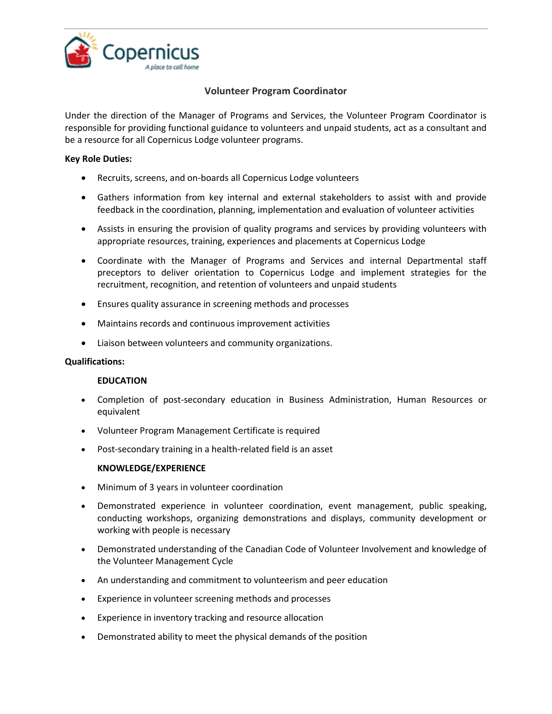

# **Volunteer Program Coordinator**

Under the direction of the Manager of Programs and Services, the Volunteer Program Coordinator is responsible for providing functional guidance to volunteers and unpaid students, act as a consultant and be a resource for all Copernicus Lodge volunteer programs.

### **Key Role Duties:**

- Recruits, screens, and on-boards all Copernicus Lodge volunteers
- Gathers information from key internal and external stakeholders to assist with and provide feedback in the coordination, planning, implementation and evaluation of volunteer activities
- Assists in ensuring the provision of quality programs and services by providing volunteers with appropriate resources, training, experiences and placements at Copernicus Lodge
- Coordinate with the Manager of Programs and Services and internal Departmental staff preceptors to deliver orientation to Copernicus Lodge and implement strategies for the recruitment, recognition, and retention of volunteers and unpaid students
- Ensures quality assurance in screening methods and processes
- Maintains records and continuous improvement activities
- Liaison between volunteers and community organizations.

### **Qualifications:**

### **EDUCATION**

- Completion of post-secondary education in Business Administration, Human Resources or equivalent
- Volunteer Program Management Certificate is required
- Post-secondary training in a health-related field is an asset

### **KNOWLEDGE/EXPERIENCE**

- Minimum of 3 years in volunteer coordination
- Demonstrated experience in volunteer coordination, event management, public speaking, conducting workshops, organizing demonstrations and displays, community development or working with people is necessary
- Demonstrated understanding of the Canadian Code of Volunteer Involvement and knowledge of the Volunteer Management Cycle
- An understanding and commitment to volunteerism and peer education
- Experience in volunteer screening methods and processes
- Experience in inventory tracking and resource allocation
- Demonstrated ability to meet the physical demands of the position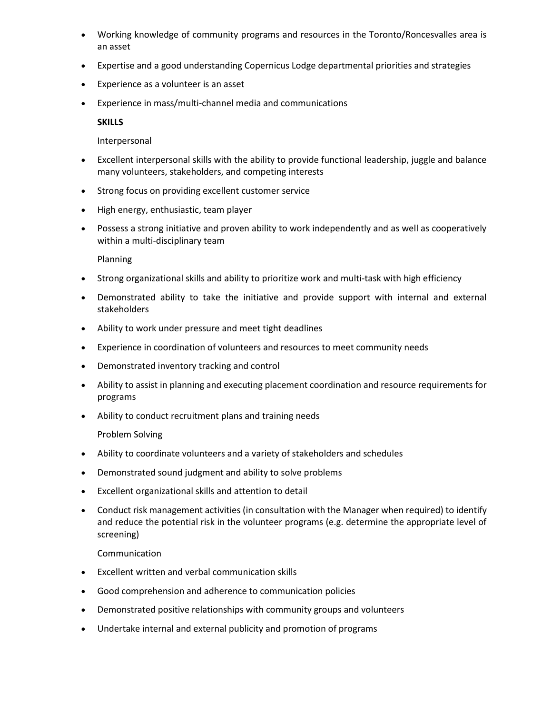- Working knowledge of community programs and resources in the Toronto/Roncesvalles area is an asset
- Expertise and a good understanding Copernicus Lodge departmental priorities and strategies
- Experience as a volunteer is an asset
- Experience in mass/multi-channel media and communications

#### **SKILLS**

#### Interpersonal

- Excellent interpersonal skills with the ability to provide functional leadership, juggle and balance many volunteers, stakeholders, and competing interests
- Strong focus on providing excellent customer service
- High energy, enthusiastic, team player
- Possess a strong initiative and proven ability to work independently and as well as cooperatively within a multi-disciplinary team

Planning

- Strong organizational skills and ability to prioritize work and multi-task with high efficiency
- Demonstrated ability to take the initiative and provide support with internal and external stakeholders
- Ability to work under pressure and meet tight deadlines
- Experience in coordination of volunteers and resources to meet community needs
- Demonstrated inventory tracking and control
- Ability to assist in planning and executing placement coordination and resource requirements for programs
- Ability to conduct recruitment plans and training needs

Problem Solving

- Ability to coordinate volunteers and a variety of stakeholders and schedules
- Demonstrated sound judgment and ability to solve problems
- Excellent organizational skills and attention to detail
- Conduct risk management activities (in consultation with the Manager when required) to identify and reduce the potential risk in the volunteer programs (e.g. determine the appropriate level of screening)

Communication

- Excellent written and verbal communication skills
- Good comprehension and adherence to communication policies
- Demonstrated positive relationships with community groups and volunteers
- Undertake internal and external publicity and promotion of programs